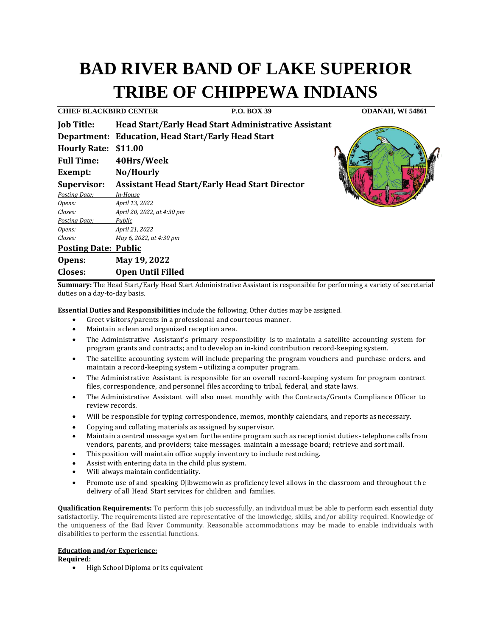# **BAD RIVER BAND OF LAKE SUPERIOR TRIBE OF CHIPPEWA INDIANS**

**CDANAH, WI 54861** 

| CHIEF BLACKBIRD CENTER      |                                                             | P.O. BOX 39 |
|-----------------------------|-------------------------------------------------------------|-------------|
| <b>Job Title:</b>           | <b>Head Start/Early Head Start Administrative Assistant</b> |             |
|                             | <b>Department: Education, Head Start/Early Head Start</b>   |             |
| <b>Hourly Rate:</b>         | \$11.00                                                     |             |
| <b>Full Time:</b>           | 40Hrs/Week                                                  |             |
| Exempt:                     | No/Hourly                                                   |             |
| <b>Supervisor:</b>          | <b>Assistant Head Start/Early Head Start Director</b>       |             |
| <b>Posting Date:</b>        | In-House                                                    |             |
| Opens:                      | April 13, 2022                                              |             |
| Closes:                     | April 20, 2022, at 4:30 pm                                  |             |
| Posting Date:               | Public                                                      |             |
| Opens:                      | April 21, 2022                                              |             |
| Closes:                     | May 6, 2022, at 4:30 pm                                     |             |
| <b>Posting Date: Public</b> |                                                             |             |
| Opens:                      | May 19, 2022                                                |             |

**Closes: Open Until Filled**

**Summary:** The Head Start/Early Head Start Administrative Assistant is responsible for performing a variety of secretarial duties on a day-to-day basis.

**Essential Duties and Responsibilities** include the following. Other duties may be assigned.

- Greet visitors/parents in a professional and courteous manner.
- Maintain a clean and organized reception area.
- The Administrative Assistant's primary responsibility is to maintain a satellite accounting system for program grants and contracts; and to develop an in-kind contribution record-keeping system.
- The satellite accounting system will include preparing the program vouchers and purchase orders. and maintain <sup>a</sup> record-keeping system -utilizing <sup>a</sup> computer program.
- The Administrative Assistant is responsible for an overall record-keeping system for program contract files, correspondence, and personnel files according to tribal, federal, and state laws.
- The Administrative Assistant will also meet monthly with the Contracts/Grants Compliance Officer to review records.
- Will be responsible for typing correspondence, memos, monthly calendars, and reports as necessary.
- Copying and collating materials as assigned by supervisor.
- Maintain a central message system for the entire program such as receptionist duties -telephone calls from vendors, parents, and providers; take messages. maintain a message board; retrieve and sort mail.
- This position will maintain office supply inventory to include restocking.
- Assist with entering data in the child plus system.
- Will always maintain confidentiality.
- Promote use of and speaking Ojibwemowin as proficiency level allows in the classroom and throughout t h e delivery of all Head Start services for children and families.

**Qualification Requirements:** To perform this job successfully, an individual must be able to perform each essential duty satisfactorily. The requirements listed are representative of the knowledge, skills, and/or ability required. Knowledge of the uniqueness of the Bad River Community. Reasonable accommodations may be made to enable individuals with disabilities to perform the essential functions.

## **Education and/or Experience:**

**Required:**

• High School Diploma or its equivalent